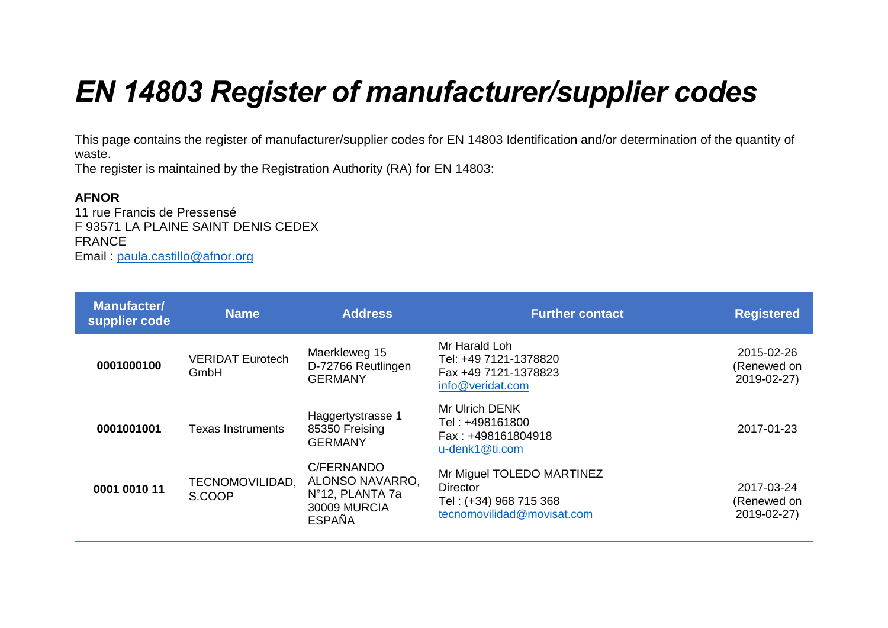## *EN 14803 Register of manufacturer/supplier codes*

This page contains the register of manufacturer/supplier codes for EN 14803 Identification and/or determination of the quantity of waste.

The register is maintained by the Registration Authority (RA) for EN 14803:

## **AFNOR**

11 rue Francis de Pressensé F 93571 LA PLAINE SAINT DENIS CEDEX FRANCE Email : [paula.castillo@afnor.org](mailto:paula.castillo@afnor.org)

| <b>Manufacter/</b><br>supplier code | <b>Name</b>                     | <b>Address</b>                                                                           | <b>Further contact</b>                                                                        | <b>Registered</b>                        |
|-------------------------------------|---------------------------------|------------------------------------------------------------------------------------------|-----------------------------------------------------------------------------------------------|------------------------------------------|
| 0001000100                          | <b>VERIDAT Eurotech</b><br>GmbH | Maerkleweg 15<br>D-72766 Reutlingen<br><b>GERMANY</b>                                    | Mr Harald Loh<br>Tel: +49 7121-1378820<br>Fax +49 7121-1378823<br>info@veridat.com            | 2015-02-26<br>(Renewed on<br>2019-02-27) |
| 0001001001                          | <b>Texas Instruments</b>        | Haggertystrasse 1<br>85350 Freising<br><b>GERMANY</b>                                    | Mr Ulrich DENK<br>Tel : +498161800<br>Fax: +498161804918<br>u-denk1@ti.com                    | 2017-01-23                               |
| 0001 0010 11                        | TECNOMOVILIDAD,<br>S.COOP       | C/FERNANDO<br>ALONSO NAVARRO,<br>Nº12, PLANTA 7a<br><b>30009 MURCIA</b><br><b>ESPAÑA</b> | Mr Miguel TOLEDO MARTINEZ<br>Director<br>Tel: (+34) 968 715 368<br>tecnomovilidad@movisat.com | 2017-03-24<br>(Renewed on<br>2019-02-27) |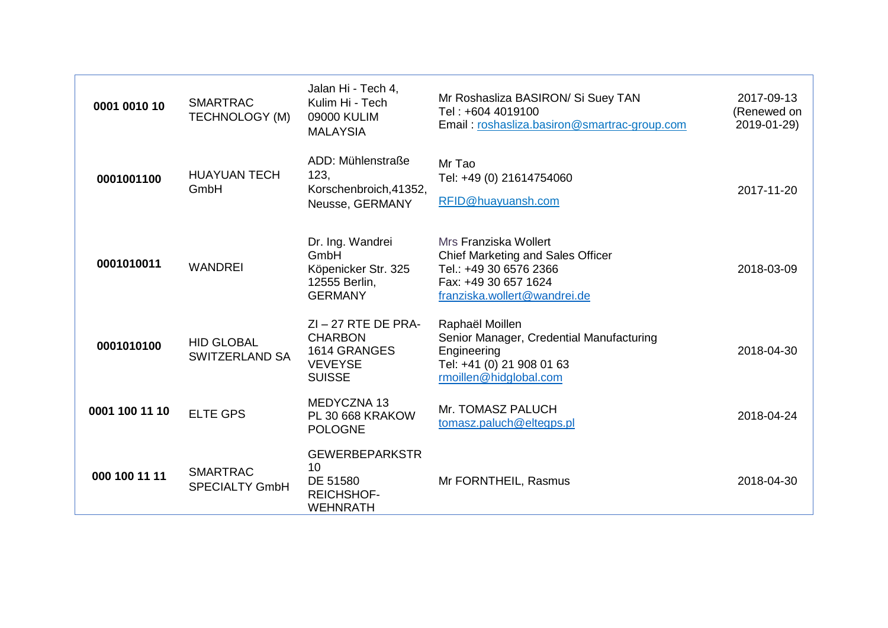| 0001 0010 10   | <b>SMARTRAC</b><br><b>TECHNOLOGY (M)</b>   | Jalan Hi - Tech 4,<br>Kulim Hi - Tech<br>09000 KULIM<br><b>MALAYSIA</b>                    | Mr Roshasliza BASIRON/ Si Suey TAN<br>Tel: +604 4019100<br>Email: roshasliza.basiron@smartrac-group.com                                      | 2017-09-13<br>(Renewed on<br>2019-01-29) |
|----------------|--------------------------------------------|--------------------------------------------------------------------------------------------|----------------------------------------------------------------------------------------------------------------------------------------------|------------------------------------------|
| 0001001100     | <b>HUAYUAN TECH</b><br>GmbH                | ADD: Mühlenstraße<br>123,<br>Korschenbroich, 41352,<br>Neusse, GERMANY                     | Mr Tao<br>Tel: +49 (0) 21614754060<br>RFID@huayuansh.com                                                                                     | 2017-11-20                               |
| 0001010011     | <b>WANDREI</b>                             | Dr. Ing. Wandrei<br>GmbH<br>Köpenicker Str. 325<br>12555 Berlin,<br><b>GERMANY</b>         | Mrs Franziska Wollert<br>Chief Marketing and Sales Officer<br>Tel.: +49 30 6576 2366<br>Fax: +49 30 657 1624<br>franziska.wollert@wandrei.de | 2018-03-09                               |
| 0001010100     | <b>HID GLOBAL</b><br><b>SWITZERLAND SA</b> | $ZI - 27$ RTE DE PRA-<br><b>CHARBON</b><br>1614 GRANGES<br><b>VEVEYSE</b><br><b>SUISSE</b> | Raphaël Moillen<br>Senior Manager, Credential Manufacturing<br>Engineering<br>Tel: +41 (0) 21 908 01 63<br>rmoillen@hidglobal.com            | 2018-04-30                               |
| 0001 100 11 10 | <b>ELTE GPS</b>                            | MEDYCZNA 13<br>PL 30 668 KRAKOW<br><b>POLOGNE</b>                                          | Mr. TOMASZ PALUCH<br>tomasz.paluch@eltegps.pl                                                                                                | 2018-04-24                               |
| 000 100 11 11  | <b>SMARTRAC</b><br><b>SPECIALTY GmbH</b>   | <b>GEWERBEPARKSTR</b><br>10<br>DE 51580<br><b>REICHSHOF-</b><br><b>WEHNRATH</b>            | Mr FORNTHEIL, Rasmus                                                                                                                         | 2018-04-30                               |